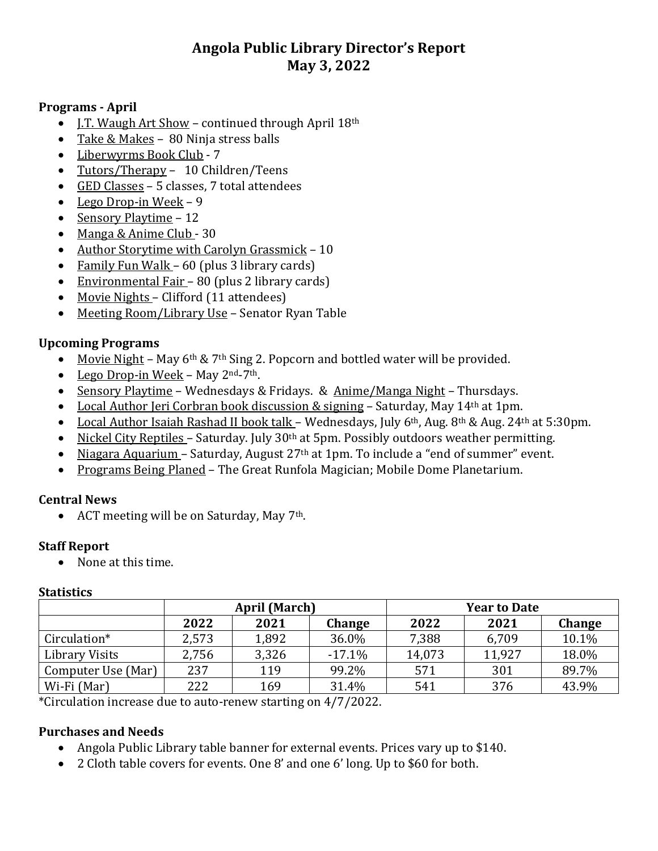# **Angola Public Library Director's Report May 3, 2022**

#### **Programs - April**

- I.T. Waugh Art Show continued through April 18th
- Take & Makes 80 Ninja stress balls
- Liberwyrms Book Club 7
- Tutors/Therapy 10 Children/Teens
- GED Classes 5 classes, 7 total attendees
- $\bullet$  Lego Drop-in Week 9
- Sensory Playtime 12
- Manga & Anime Club 30
- Author Storytime with Carolyn Grassmick 10
- Family Fun Walk 60 (plus 3 library cards)
- Environmental Fair 80 (plus 2 library cards)
- Movie Nights Clifford (11 attendees)
- Meeting Room/Library Use Senator Ryan Table

## **Upcoming Programs**

- Movie Night May  $6<sup>th</sup>$  & 7<sup>th</sup> Sing 2. Popcorn and bottled water will be provided.
- Lego Drop-in Week May  $2<sup>nd</sup>$ -7<sup>th</sup>.
- Sensory Playtime Wednesdays & Fridays. & Anime/Manga Night Thursdays.
- Local Author Jeri Corbran book discussion  $&$  signing Saturday, May 14<sup>th</sup> at 1pm.
- Local Author Isaiah Rashad II book talk Wednesdays, July  $6<sup>th</sup>$ , Aug.  $8<sup>th</sup>$  & Aug. 24<sup>th</sup> at 5:30pm.
- Nickel City Reptiles Saturday. July 30<sup>th</sup> at 5pm. Possibly outdoors weather permitting.
- Niagara Aquarium Saturday, August 27<sup>th</sup> at 1pm. To include a "end of summer" event.
- Programs Being Planed The Great Runfola Magician; Mobile Dome Planetarium.

### **Central News**

• ACT meeting will be on Saturday, May  $7<sup>th</sup>$ .

### **Staff Report**

• None at this time.

#### **Statistics**

|                    | <b>April (March)</b> |       |          | <b>Year to Date</b> |        |        |
|--------------------|----------------------|-------|----------|---------------------|--------|--------|
|                    | 2022                 | 2021  | Change   | 2022                | 2021   | Change |
| Circulation*       | 2,573                | 1,892 | 36.0%    | 7,388               | 6,709  | 10.1%  |
| Library Visits     | 2,756                | 3,326 | $-17.1%$ | 14,073              | 11,927 | 18.0%  |
| Computer Use (Mar) | 237                  | 119   | 99.2%    | 571                 | 301    | 89.7%  |
| Wi-Fi (Mar)        | 222                  | 169   | 31.4%    | 541                 | 376    | 43.9%  |

\*Circulation increase due to auto-renew starting on 4/7/2022.

### **Purchases and Needs**

- Angola Public Library table banner for external events. Prices vary up to \$140.
- 2 Cloth table covers for events. One 8' and one 6' long. Up to \$60 for both.